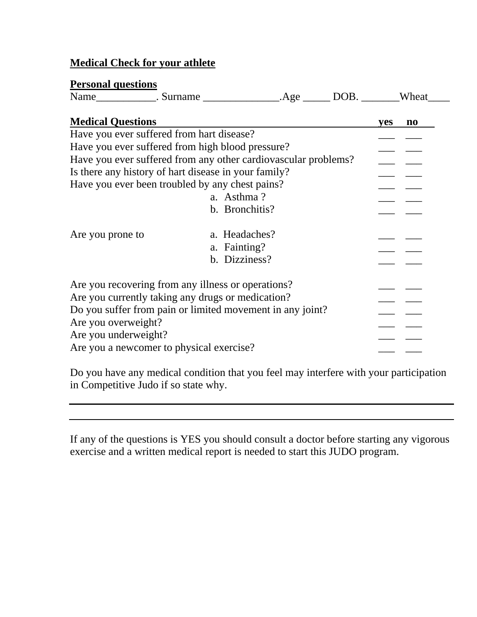# **Medical Check for your athlete**

## **Personal questions**

| $\sim$<br>Nai.<br>surname<br>11111 | $\alpha$ | <sup>1</sup><br>╻╒ | -- --<br>heat<br>VУ. |
|------------------------------------|----------|--------------------|----------------------|
|------------------------------------|----------|--------------------|----------------------|

| <b>Medical Questions</b>                                                                                |                                                | yes | no. |
|---------------------------------------------------------------------------------------------------------|------------------------------------------------|-----|-----|
| Have you ever suffered from hart disease?                                                               |                                                |     |     |
| Have you ever suffered from high blood pressure?                                                        |                                                |     |     |
| Have you ever suffered from any other cardiovascular problems?                                          |                                                |     |     |
| Is there any history of hart disease in your family?                                                    |                                                |     |     |
| Have you ever been troubled by any chest pains?                                                         |                                                |     |     |
|                                                                                                         | a. Asthma?                                     |     |     |
|                                                                                                         | b. Bronchitis?                                 |     |     |
| Are you prone to                                                                                        | a. Headaches?<br>a. Fainting?<br>b. Dizziness? |     |     |
| Are you recovering from any illness or operations?<br>Are you currently taking any drugs or medication? |                                                |     |     |
| Do you suffer from pain or limited movement in any joint?<br>Are you overweight?                        |                                                |     |     |
| Are you underweight?<br>Are you a newcomer to physical exercise?                                        |                                                |     |     |

Do you have any medical condition that you feel may interfere with your participation in Competitive Judo if so state why.

If any of the questions is YES you should consult a doctor before starting any vigorous exercise and a written medical report is needed to start this JUDO program.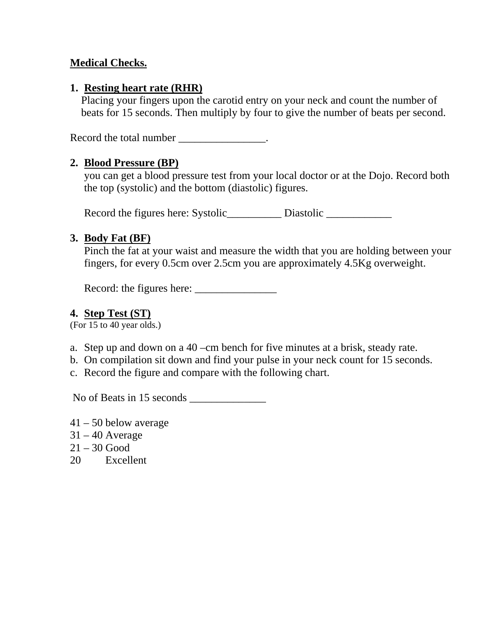## **Medical Checks.**

## **1. Resting heart rate (RHR)**

Placing your fingers upon the carotid entry on your neck and count the number of beats for 15 seconds. Then multiply by four to give the number of beats per second.

Record the total number \_\_\_\_\_\_\_\_\_\_\_\_\_\_\_.

#### **2. Blood Pressure (BP)**

you can get a blood pressure test from your local doctor or at the Dojo. Record both the top (systolic) and the bottom (diastolic) figures.

Record the figures here: Systolic\_\_\_\_\_\_\_\_\_\_\_\_ Diastolic \_\_\_\_\_\_\_\_\_\_\_\_\_\_\_\_\_\_\_\_\_\_\_\_

#### **3. Body Fat (BF)**

Pinch the fat at your waist and measure the width that you are holding between your fingers, for every 0.5cm over 2.5cm you are approximately 4.5Kg overweight.

Record: the figures here: \_\_\_\_\_\_\_\_\_\_\_\_\_\_\_

## **4. Step Test (ST)**

(For 15 to 40 year olds.)

- a. Step up and down on a 40 –cm bench for five minutes at a brisk, steady rate.
- b. On compilation sit down and find your pulse in your neck count for 15 seconds.
- c. Record the figure and compare with the following chart.

No of Beats in 15 seconds \_\_\_\_\_\_\_\_\_\_\_\_\_\_

- 41 50 below average
- $31 40$  Average
- $21 30$  Good
- 20 Excellent